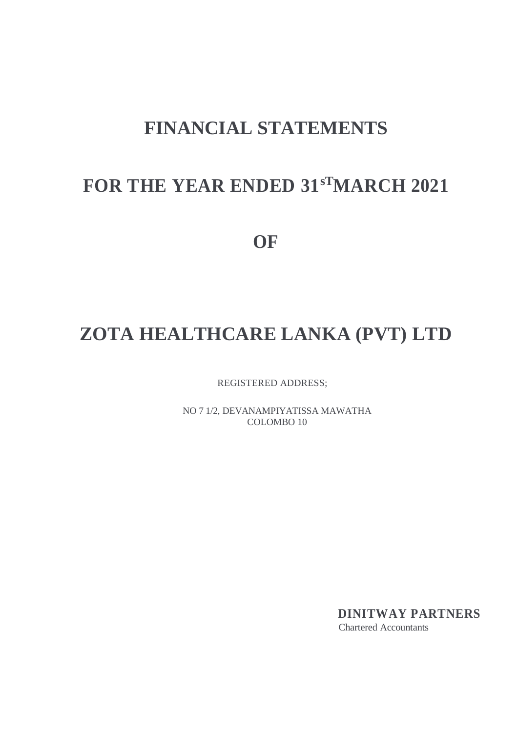# **FINANCIAL STATEMENTS**

# **FOR THE YEAR ENDED 31sTMARCH 2021**

**OF**

# **ZOTA HEALTHCARE LANKA (PVT) LTD**

REGISTERED ADDRESS;

NO 7 1/2, DEVANAMPIYATISSA MAWATHA COLOMBO 10

> **DINITWAY PARTNERS** Chartered Accountants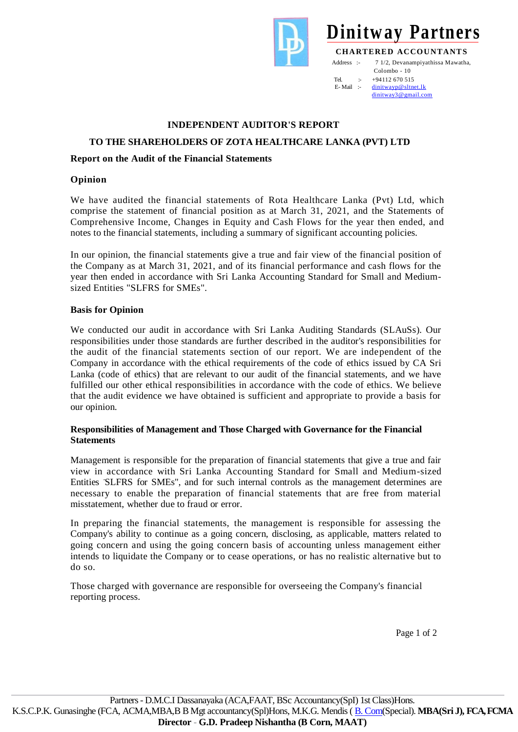

 Colombo - 10 Tel.  $\div$  +94112 670 515<br>F-Mail  $\div$  dinitwayn@sltn [dinitwayp@sltnet.lk](mailto:dinitwayp@sltnet.lk) [dinitway3@gmail.com](mailto:dinitway3@gmail.com)

## **INDEPENDENT AUDITOR'S REPORT**

## **TO THE SHAREHOLDERS OF ZOTA HEALTHCARE LANKA (PVT) LTD**

## **Report on the Audit of the Financial Statements**

## **Opinion**

We have audited the financial statements of Rota Healthcare Lanka (Pvt) Ltd, which comprise the statement of financial position as at March 31, 2021, and the Statements of Comprehensive Income, Changes in Equity and Cash Flows for the year then ended, and notes to the financial statements, including a summary of significant accounting policies.

In our opinion, the financial statements give a true and fair view of the financial position of the Company as at March 31, 2021, and of its financial performance and cash flows for the year then ended in accordance with Sri Lanka Accounting Standard for Small and Mediumsized Entities "SLFRS for SMEs".

## **Basis for Opinion**

We conducted our audit in accordance with Sri Lanka Auditing Standards (SLAuSs). Our responsibilities under those standards are further described in the auditor's responsibilities for the audit of the financial statements section of our report. We are independent of the Company in accordance with the ethical requirements of the code of ethics issued by CA Sri Lanka (code of ethics) that are relevant to our audit of the financial statements, and we have fulfilled our other ethical responsibilities in accordance with the code of ethics. We believe that the audit evidence we have obtained is sufficient and appropriate to provide a basis for our opinion.

## **Responsibilities of Management and Those Charged with Governance for the Financial Statements**

Management is responsible for the preparation of financial statements that give a true and fair view in accordance with Sri Lanka Accounting Standard for Small and Medium-sized Entities SLFRS for SMEs", and for such internal controls as the management determines are necessary to enable the preparation of financial statements that are free from material misstatement, whether due to fraud or error.

In preparing the financial statements, the management is responsible for assessing the Company's ability to continue as a going concern, disclosing, as applicable, matters related to going concern and using the going concern basis of accounting unless management either intends to liquidate the Company or to cease operations, or has no realistic alternative but to do so.

Those charged with governance are responsible for overseeing the Company's financial reporting process.

Page 1 of 2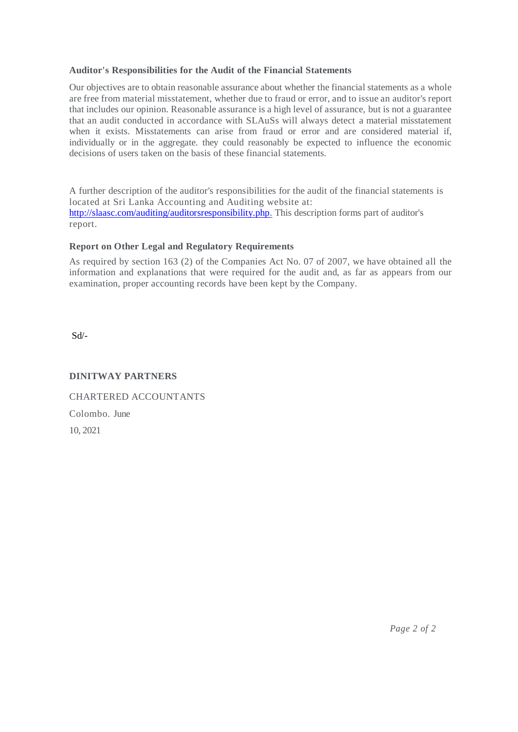## **Auditor's Responsibilities for the Audit of the Financial Statements**

Our objectives are to obtain reasonable assurance about whether the financial statements as a whole are free from material misstatement, whether due to fraud or error, and to issue an auditor's report that includes our opinion. Reasonable assurance is a high level of assurance, but is not a guarantee that an audit conducted in accordance with SLAuSs will always detect a material misstatement when it exists. Misstatements can arise from fraud or error and are considered material if, individually or in the aggregate. they could reasonably be expected to influence the economic decisions of users taken on the basis of these financial statements.

A further description of the auditor's responsibilities for the audit of the financial statements is located at Sri Lanka Accounting and Auditing website at: [http://slaasc.com/auditing/auditorsresponsibility.php.](http://slaasc.com/auditing/auditorsresponsibility.php) This description forms part of auditor's report.

## **Report on Other Legal and Regulatory Requirements**

As required by section 163 (2) of the Companies Act No. 07 of 2007, we have obtained all the information and explanations that were required for the audit and, as far as appears from our examination, proper accounting records have been kept by the Company.

Sd/-

## **DINITWAY PARTNERS**

CHARTERED ACCOUNTANTS Colombo. June 10, 2021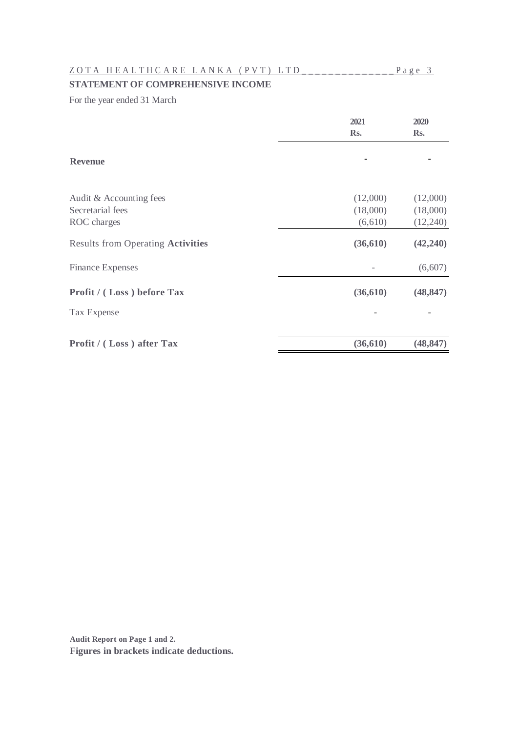## Z O T A H E A L T H C A R E L A N K A ( P V T ) L T D \_ \_ \_ \_ \_ \_ \_ \_ \_ \_ \_ \_ \_ \_ P a g e 3

## **STATEMENT OF COMPREHENSIVE INCOME**

For the year ended 31 March

|                                          | 2021      | 2020      |
|------------------------------------------|-----------|-----------|
|                                          | Rs.       | Rs.       |
| <b>Revenue</b>                           |           |           |
| Audit & Accounting fees                  | (12,000)  | (12,000)  |
| Secretarial fees                         | (18,000)  | (18,000)  |
| ROC charges                              | (6,610)   | (12,240)  |
| <b>Results from Operating Activities</b> | (36,610)  | (42,240)  |
| <b>Finance Expenses</b>                  |           | (6,607)   |
| Profit / (Loss) before Tax               | (36,610)  | (48, 847) |
| Tax Expense                              |           |           |
| Profit / (Loss) after Tax                | (36, 610) | (48, 847) |
|                                          |           |           |

**Audit Report on Page 1 and 2. Figures in brackets indicate deductions.**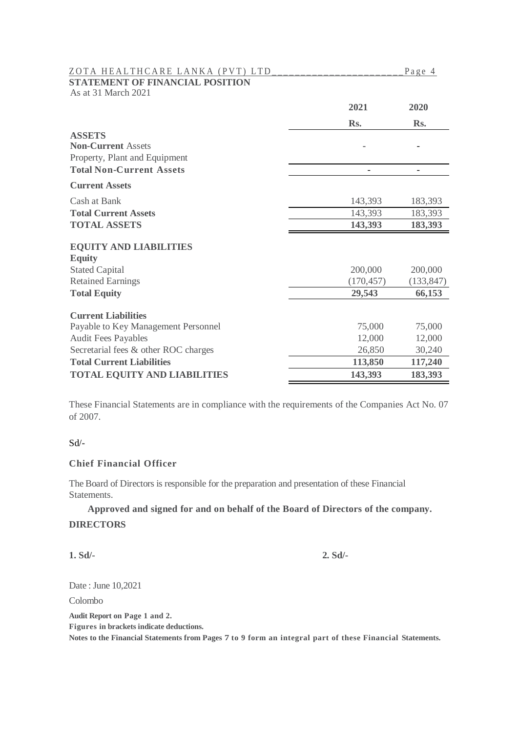| ZOTA HEALTHCARE LANKA (PVT) LTD        |            | Page 4     |
|----------------------------------------|------------|------------|
| <b>STATEMENT OF FINANCIAL POSITION</b> |            |            |
| As at 31 March 2021                    |            |            |
|                                        | 2021       | 2020       |
|                                        | Rs.        | Rs.        |
| <b>ASSETS</b>                          |            |            |
| <b>Non-Current Assets</b>              |            |            |
| Property, Plant and Equipment          |            |            |
| <b>Total Non-Current Assets</b>        |            |            |
| <b>Current Assets</b>                  |            |            |
| Cash at Bank                           | 143,393    | 183,393    |
| <b>Total Current Assets</b>            | 143,393    | 183,393    |
| <b>TOTAL ASSETS</b>                    | 143,393    | 183,393    |
| <b>EQUITY AND LIABILITIES</b>          |            |            |
| <b>Equity</b>                          |            |            |
| <b>Stated Capital</b>                  | 200,000    | 200,000    |
| <b>Retained Earnings</b>               | (170, 457) | (133, 847) |
| <b>Total Equity</b>                    | 29,543     | 66,153     |
| <b>Current Liabilities</b>             |            |            |
|                                        | 75,000     | 75,000     |
| Payable to Key Management Personnel    | 12,000     | 12,000     |
| <b>Audit Fees Payables</b>             |            |            |
| Secretarial fees & other ROC charges   | 26,850     | 30,240     |
| <b>Total Current Liabilities</b>       | 113,850    | 117,240    |
| <b>TOTAL EQUITY AND LIABILITIES</b>    | 143,393    | 183,393    |

These Financial Statements are in compliance with the requirements of the Companies Act No. 07 of 2007.

## Sd/-

## **Chief Financial Officer**

The Board of Directors is responsible for the preparation and presentation of these Financial Statements.

**Approved and signed for and on behalf of the Board of Directors of the company. DIRECTORS**

**1. Sd/- 2. Sd/-**

Date : June 10,2021

Colombo

**Audit Report on Page 1 and 2.**

**Figures in brackets indicate deductions.**

**Notes to the Financial Statements from Pages 7 to 9 form an integral part of these Financial Statements.**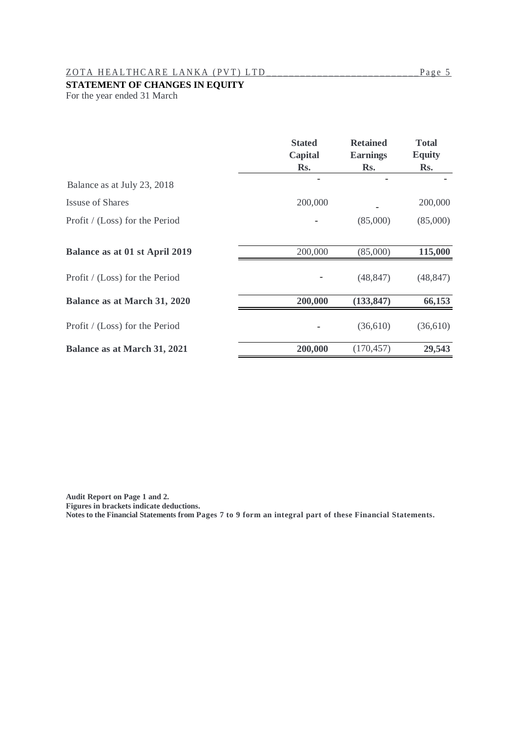## Z O T A H E A L T H C A R E L A N K A ( P V T ) L T D \_ \_ \_ \_ \_ \_ \_ \_ \_ \_ \_ \_ \_ \_ \_ \_ \_ \_ \_ \_ \_ \_ \_ \_ \_ \_ \_ P a g e 5

## **STATEMENT OF CHANGES IN EQUITY**

For the year ended 31 March

|                                     | <b>Stated</b><br><b>Capital</b> | <b>Retained</b><br><b>Earnings</b> | <b>Total</b><br><b>Equity</b> |
|-------------------------------------|---------------------------------|------------------------------------|-------------------------------|
|                                     | Rs.                             | Rs.                                | Rs.                           |
| Balance as at July 23, 2018         |                                 |                                    |                               |
| <b>Issuse of Shares</b>             | 200,000                         |                                    | 200,000                       |
| Profit / (Loss) for the Period      |                                 | (85,000)                           | (85,000)                      |
| Balance as at 01 st April 2019      | 200,000                         | (85,000)                           | 115,000                       |
| Profit / (Loss) for the Period      |                                 | (48, 847)                          | (48, 847)                     |
| Balance as at March 31, 2020        | 200,000                         | (133, 847)                         | 66,153                        |
| Profit / (Loss) for the Period      |                                 | (36,610)                           | (36,610)                      |
| <b>Balance as at March 31, 2021</b> | 200,000                         | (170, 457)                         | 29,543                        |

**Audit Report on Page 1 and 2.**

**Figures in brackets indicate deductions.**

**Notes to the Financial Statements from Pages 7 to 9 form an integral part of these Financial Statements.**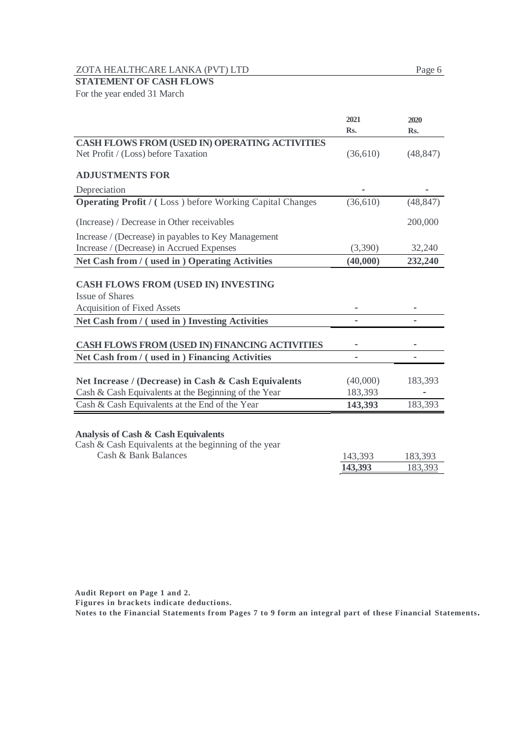ZOTA HEALTHCARE LANKA (PVT) LTD Page 6

## **STATEMENT OF CASH FLOWS**

For the year ended 31 March

|                                                                 | 2021<br>Rs. | 2020<br>Rs. |
|-----------------------------------------------------------------|-------------|-------------|
|                                                                 |             |             |
| CASH FLOWS FROM (USED IN) OPERATING ACTIVITIES                  |             |             |
| Net Profit / (Loss) before Taxation                             | (36,610)    | (48, 847)   |
|                                                                 |             |             |
| <b>ADJUSTMENTS FOR</b>                                          |             |             |
| Depreciation                                                    |             |             |
| <b>Operating Profit / (Loss) before Working Capital Changes</b> | (36,610)    | (48, 847)   |
| (Increase) / Decrease in Other receivables                      |             | 200,000     |
| Increase / (Decrease) in payables to Key Management             |             |             |
| Increase / (Decrease) in Accrued Expenses                       | (3,390)     | 32,240      |
| Net Cash from / (used in ) Operating Activities                 | (40,000)    | 232,240     |
|                                                                 |             |             |
| <b>CASH FLOWS FROM (USED IN) INVESTING</b>                      |             |             |
| <b>Issue of Shares</b>                                          |             |             |
| <b>Acquisition of Fixed Assets</b>                              |             |             |
| Net Cash from / (used in ) Investing Activities                 |             |             |
|                                                                 |             |             |
| <b>CASH FLOWS FROM (USED IN) FINANCING ACTIVITIES</b>           |             |             |
| Net Cash from / (used in) Financing Activities                  |             |             |
|                                                                 |             |             |
| Net Increase / (Decrease) in Cash & Cash Equivalents            | (40,000)    | 183,393     |
| Cash & Cash Equivalents at the Beginning of the Year            | 183,393     |             |
| Cash & Cash Equivalents at the End of the Year                  | 143,393     | 183,393     |
|                                                                 |             |             |
| <b>Analysis of Cash &amp; Cash Equivalents</b>                  |             |             |
| Cash & Cash Equivalents at the beginning of the year            |             |             |
| Cash & Bank Balances                                            | 143,393     | 183,393     |
|                                                                 | 43.393      | 183,393     |
|                                                                 |             |             |

 **Audit Report on Page 1 and 2.**

**Figures in brackets indicate deductions.**

**Notes to the Financial Statements from Pages 7 to 9 form an integral part of these Financial Statements.**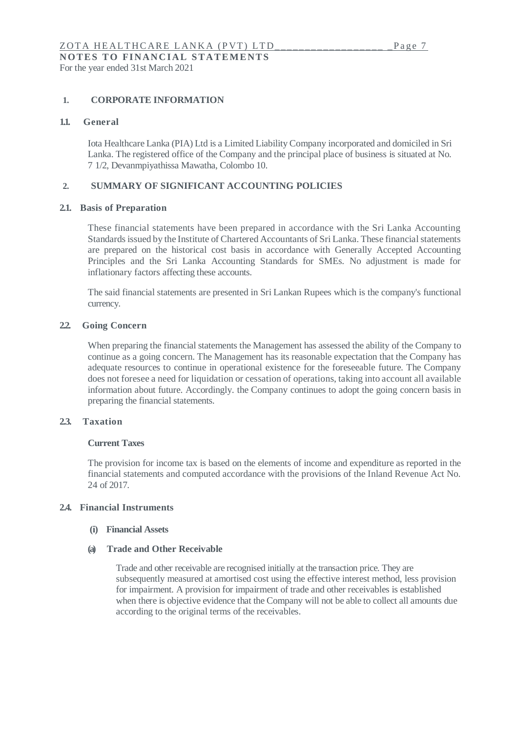For the year ended 31st March 2021

## **1. CORPORATE INFORMATION**

#### **1.1. General**

Iota Healthcare Lanka (PIA) Ltd is a Limited Liability Company incorporated and domiciled in Sri Lanka. The registered office of the Company and the principal place of business is situated at No. 7 1/2, Devanmpiyathissa Mawatha, Colombo 10.

#### **2. SUMMARY OF SIGNIFICANT ACCOUNTING POLICIES**

#### **2.1. Basis of Preparation**

These financial statements have been prepared in accordance with the Sri Lanka Accounting Standards issued by the Institute of Chartered Accountants of Sri Lanka. These financial statements are prepared on the historical cost basis in accordance with Generally Accepted Accounting Principles and the Sri Lanka Accounting Standards for SMEs. No adjustment is made for inflationary factors affecting these accounts.

The said financial statements are presented in Sri Lankan Rupees which is the company's functional currency.

## **2.2. Going Concern**

When preparing the financial statements the Management has assessed the ability of the Company to continue as a going concern. The Management has its reasonable expectation that the Company has adequate resources to continue in operational existence for the foreseeable future. The Company does not foresee a need for liquidation or cessation of operations, taking into account all available information about future. Accordingly. the Company continues to adopt the going concern basis in preparing the financial statements.

## **2.3. Taxation**

## **Current Taxes**

The provision for income tax is based on the elements of income and expenditure as reported in the financial statements and computed accordance with the provisions of the Inland Revenue Act No. 24 of 2017.

## **2.4. Financial Instruments**

#### **(i) Financial Assets**

#### **(a) Trade and Other Receivable**

Trade and other receivable are recognised initially at the transaction price. They are subsequently measured at amortised cost using the effective interest method, less provision for impairment. A provision for impairment of trade and other receivables is established when there is objective evidence that the Company will not be able to collect all amounts due according to the original terms of the receivables.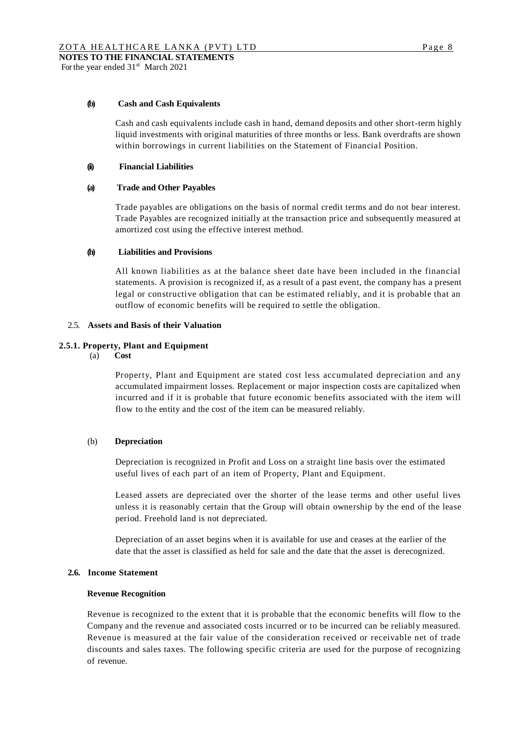#### **(b) Cash and Cash Equivalents**

Cash and cash equivalents include cash in hand, demand deposits and other short-term highly liquid investments with original maturities of three months or less. Bank overdrafts are shown within borrowings in current liabilities on the Statement of Financial Position.

#### **(ii) Financial Liabilities**

#### **(a) Trade and Other Payables**

Trade payables are obligations on the basis of normal credit terms and do not bear interest. Trade Payables are recognized initially at the transaction price and subsequently measured at amortized cost using the effective interest method.

#### **(h) Liabilities and Provisions**

All known liabilities as at the balance sheet date have been included in the financial statements. A provision is recognized if, as a result of a past event, the company has a present legal or constructive obligation that can be estimated reliably, and it is probable that an outflow of economic benefits will be required to settle the obligation.

#### 2.5. **Assets and Basis of their Valuation**

#### **2.5.1. Property, Plant and Equipment**

(a) **Cost**

Property, Plant and Equipment are stated cost less accumulated depreciation and any accumulated impairment losses. Replacement or major inspection costs are capitalized when incurred and if it is probable that future economic benefits associated with the item will flow to the entity and the cost of the item can be measured reliably.

#### (b) **Depreciation**

Depreciation is recognized in Profit and Loss on a straight line basis over the estimated useful lives of each part of an item of Property, Plant and Equipment.

Leased assets are depreciated over the shorter of the lease terms and other useful lives unless it is reasonably certain that the Group will obtain ownership by the end of the lease period. Freehold land is not depreciated.

Depreciation of an asset begins when it is available for use and ceases at the earlier of the date that the asset is classified as held for sale and the date that the asset is derecognized.

#### **2.6. Income Statement**

#### **Revenue Recognition**

Revenue is recognized to the extent that it is probable that the economic benefits will flow to the Company and the revenue and associated costs incurred or to be incurred can be reliably measured. Revenue is measured at the fair value of the consideration received or receivable net of trade discounts and sales taxes. The following specific criteria are used for the purpose of recognizing of revenue.